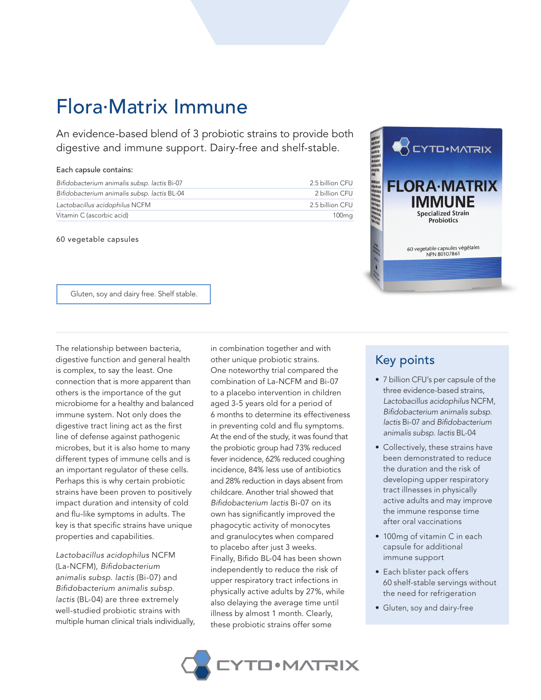## Flora.Matrix Immune

An evidence-based blend of 3 probiotic strains to provide both digestive and immune support. Dairy-free and shelf-stable.

## Each capsule contains:

| Bifidobacterium animalis subsp. lactis Bi-07 | 2.5 billion CFU |
|----------------------------------------------|-----------------|
| Bifidobacterium animalis subsp. lactis BL-04 | 2 billion CFU   |
| Lactobacillus acidophilus NCFM               | 2.5 billion CFU |
| Vitamin C (ascorbic acid)                    | 100mg           |

60 vegetable capsules



Gluten, soy and dairy free. Shelf stable.

The relationship between bacteria, digestive function and general health is complex, to say the least. One connection that is more apparent than others is the importance of the gut microbiome for a healthy and balanced immune system. Not only does the digestive tract lining act as the first line of defense against pathogenic microbes, but it is also home to many different types of immune cells and is an important regulator of these cells. Perhaps this is why certain probiotic strains have been proven to positively impact duration and intensity of cold and flu-like symptoms in adults. The key is that specific strains have unique properties and capabilities.

*Lactobacillus acidophilus* NCFM (La-NCFM), *Bifidobacterium animalis subsp. lactis* (Bi-07) and *Bifidobacterium animalis subsp. lactis* (BL-04) are three extremely well-studied probiotic strains with multiple human clinical trials individually,

in combination together and with other unique probiotic strains. One noteworthy trial compared the combination of La-NCFM and Bi-07 to a placebo intervention in children aged 3-5 years old for a period of 6 months to determine its effectiveness in preventing cold and flu symptoms. At the end of the study, it was found that the probiotic group had 73% reduced fever incidence, 62% reduced coughing incidence, 84% less use of antibiotics and 28% reduction in days absent from childcare. Another trial showed that *Bifidobacterium lactis* Bi-07 on its own has significantly improved the phagocytic activity of monocytes and granulocytes when compared to placebo after just 3 weeks. Finally, Bifido BL-04 has been shown independently to reduce the risk of upper respiratory tract infections in physically active adults by 27%, while also delaying the average time until illness by almost 1 month. Clearly, these probiotic strains offer some

## Key points

- 7 billion CFU's per capsule of the three evidence-based strains, *Lactobacillus acidophilus* NCFM, *Bifidobacterium animalis subsp. lactis* Bi-07 and *Bifidobacterium animalis subsp. lactis* BL-04
- Collectively, these strains have been demonstrated to reduce the duration and the risk of developing upper respiratory tract illnesses in physically active adults and may improve the immune response time after oral vaccinations
- 100mg of vitamin C in each capsule for additional immune support
- Each blister pack offers 60 shelf-stable servings without the need for refrigeration
- Gluten, soy and dairy-free